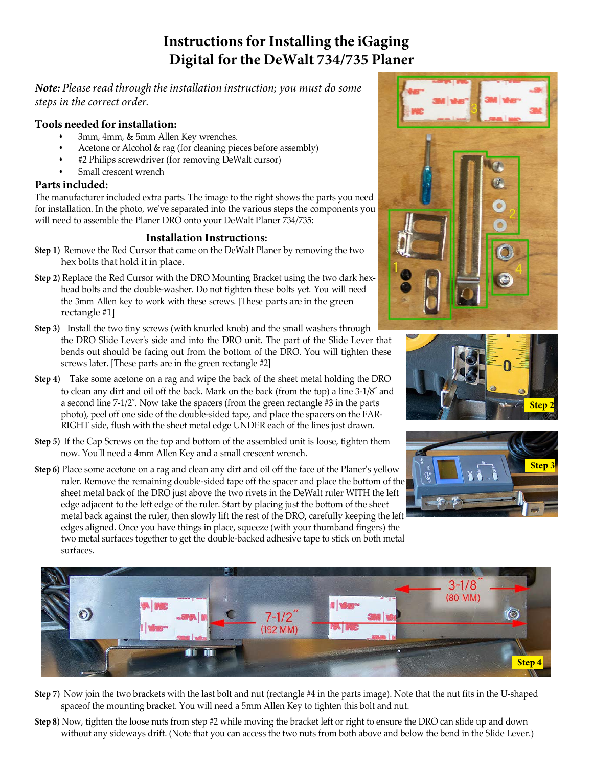# **Instructions for Installing the iGaging Digital for the DeWalt 734/735 Planer**

*Note: Please read through the installation instruction; you must do some steps in the correct order.*

### **Tools needed for installation:**

- 3mm, 4mm, & 5mm Allen Key wrenches.
- Acetone or Alcohol & rag (for cleaning pieces before assembly)
- #2 Philips screwdriver (for removing DeWalt cursor)
- Small crescent wrench

### **Parts included:**

The manufacturer included extra parts. The image to the right shows the parts you need for installation. In the photo, we've separated into the various steps the components you will need to assemble the Planer DRO onto your DeWalt Planer 734/735:

### **Installation Instructions:**

- **Step 1)** Remove the Red Cursor that came on the DeWalt Planer by removing the two hex bolts that hold it in place.
- **Step 2)** Replace the Red Cursor with the DRO Mounting Bracket using the two dark hexhead bolts and the double-washer. Do not tighten these bolts yet. You will need the 3mm Allen key to work with these screws. [These parts are in the green rectangle #1]
- **Step 3)** Install the two tiny screws (with knurled knob) and the small washers through the DRO Slide Lever's side and into the DRO unit. The part of the Slide Lever that bends out should be facing out from the bottom of the DRO. You will tighten these screws later. [These parts are in the green rectangle #2]
- **Step 4)** Take some acetone on a rag and wipe the back of the sheet metal holding the DRO to clean any dirt and oil off the back. Mark on the back (from the top) a line 3-1/8˝ and a second line 7-1/2˝. Now take the spacers (from the green rectangle #3 in the parts photo), peel off one side of the double-sided tape, and place the spacers on the FAR-RIGHT side, flush with the sheet metal edge UNDER each of the lines just drawn.
- **Step 5)** If the Cap Screws on the top and bottom of the assembled unit is loose, tighten them now. You'll need a 4mm Allen Key and a small crescent wrench.
- **Step 6)** Place some acetone on a rag and clean any dirt and oil off the face of the Planer's yellow ruler. Remove the remaining double-sided tape off the spacer and place the bottom of the sheet metal back of the DRO just above the two rivets in the DeWalt ruler WITH the left edge adjacent to the left edge of the ruler. Start by placing just the bottom of the sheet metal back against the ruler, then slowly lift the rest of the DRO, carefully keeping the left edges aligned. Once you have things in place, squeeze (with your thumband fingers) the two metal surfaces together to get the double-backed adhesive tape to stick on both metal surfaces.









- **Step 7)** Now join the two brackets with the last bolt and nut (rectangle #4 in the parts image). Note that the nut fits in the U-shaped spaceof the mounting bracket. You will need a 5mm Allen Key to tighten this bolt and nut.
- **Step 8)** Now, tighten the loose nuts from step #2 while moving the bracket left or right to ensure the DRO can slide up and down without any sideways drift. (Note that you can access the two nuts from both above and below the bend in the Slide Lever.)